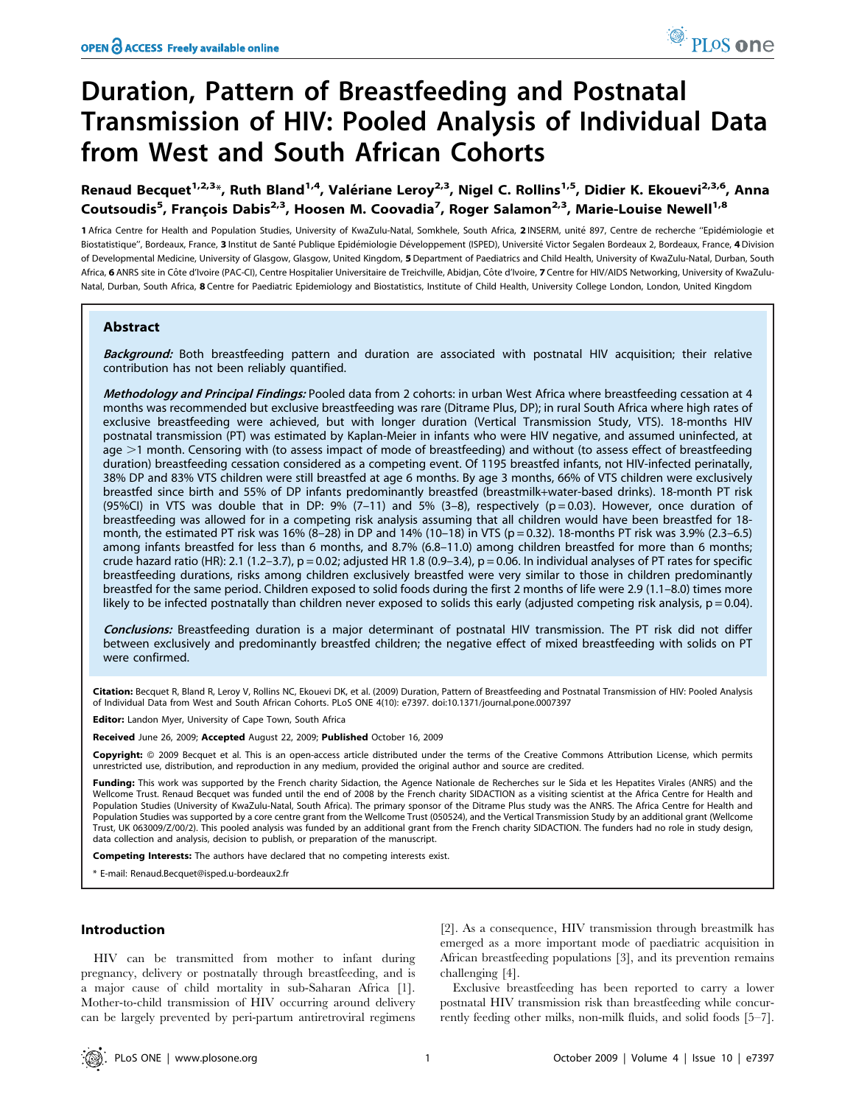# Duration, Pattern of Breastfeeding and Postnatal Transmission of HIV: Pooled Analysis of Individual Data from West and South African Cohorts

Renaud Becquet<sup>1,2,3\*</sup>, Ruth Bland<sup>1,4</sup>, Valériane Leroy<sup>2,3</sup>, Nigel C. Rollins<sup>1,5</sup>, Didier K. Ekouevi<sup>2,3,6</sup>, Anna Coutsoudis<sup>5</sup>, François Dabis<sup>2,3</sup>, Hoosen M. Coovadia<sup>7</sup>, Roger Salamon<sup>2,3</sup>, Marie-Louise Newell<sup>1,8</sup>

1 Africa Centre for Health and Population Studies, University of KwaZulu-Natal, Somkhele, South Africa, 2 INSERM, unité 897, Centre de recherche "Epidémiologie et Biostatistique", Bordeaux, France, 3 Institut de Santé Publique Epidémiologie Développement (ISPED), Université Victor Segalen Bordeaux 2, Bordeaux, France, 4 Division of Developmental Medicine, University of Glasgow, Glasgow, United Kingdom, 5 Department of Paediatrics and Child Health, University of KwaZulu-Natal, Durban, South Africa, 6 ANRS site in Côte d'Ivoire (PAC-CI), Centre Hospitalier Universitaire de Treichville, Abidjan, Côte d'Ivoire, 7 Centre for HIV/AIDS Networking, University of KwaZulu-Natal, Durban, South Africa, 8 Centre for Paediatric Epidemiology and Biostatistics, Institute of Child Health, University College London, London, United Kingdom

# Abstract

Background: Both breastfeeding pattern and duration are associated with postnatal HIV acquisition; their relative contribution has not been reliably quantified.

Methodology and Principal Findings: Pooled data from 2 cohorts: in urban West Africa where breastfeeding cessation at 4 months was recommended but exclusive breastfeeding was rare (Ditrame Plus, DP); in rural South Africa where high rates of exclusive breastfeeding were achieved, but with longer duration (Vertical Transmission Study, VTS). 18-months HIV postnatal transmission (PT) was estimated by Kaplan-Meier in infants who were HIV negative, and assumed uninfected, at age >1 month. Censoring with (to assess impact of mode of breastfeeding) and without (to assess effect of breastfeeding duration) breastfeeding cessation considered as a competing event. Of 1195 breastfed infants, not HIV-infected perinatally, 38% DP and 83% VTS children were still breastfed at age 6 months. By age 3 months, 66% of VTS children were exclusively breastfed since birth and 55% of DP infants predominantly breastfed (breastmilk+water-based drinks). 18-month PT risk (95%CI) in VTS was double that in DP: 9% (7-11) and 5% (3-8), respectively (p = 0.03). However, once duration of breastfeeding was allowed for in a competing risk analysis assuming that all children would have been breastfed for 18 month, the estimated PT risk was 16% (8–28) in DP and 14% (10–18) in VTS ( $p = 0.32$ ). 18-months PT risk was 3.9% (2.3–6.5) among infants breastfed for less than 6 months, and 8.7% (6.8–11.0) among children breastfed for more than 6 months; crude hazard ratio (HR): 2.1 (1.2–3.7),  $p = 0.02$ ; adjusted HR 1.8 (0.9–3.4),  $p = 0.06$ . In individual analyses of PT rates for specific breastfeeding durations, risks among children exclusively breastfed were very similar to those in children predominantly breastfed for the same period. Children exposed to solid foods during the first 2 months of life were 2.9 (1.1–8.0) times more likely to be infected postnatally than children never exposed to solids this early (adjusted competing risk analysis,  $p = 0.04$ ).

Conclusions: Breastfeeding duration is a major determinant of postnatal HIV transmission. The PT risk did not differ between exclusively and predominantly breastfed children; the negative effect of mixed breastfeeding with solids on PT were confirmed.

Citation: Becquet R, Bland R, Leroy V, Rollins NC, Ekouevi DK, et al. (2009) Duration, Pattern of Breastfeeding and Postnatal Transmission of HIV: Pooled Analysis of Individual Data from West and South African Cohorts. PLoS ONE 4(10): e7397. doi:10.1371/journal.pone.0007397

Editor: Landon Myer, University of Cape Town, South Africa

Received June 26, 2009; Accepted August 22, 2009; Published October 16, 2009

Copyright: @ 2009 Becquet et al. This is an open-access article distributed under the terms of the Creative Commons Attribution License, which permits restricted use, distribution, and reproduction in any medium, provided the original author and source are credited.

Funding: This work was supported by the French charity Sidaction, the Agence Nationale de Recherches sur le Sida et les Hepatites Virales (ANRS) and the Wellcome Trust. Renaud Becquet was funded until the end of 2008 by the French charity SIDACTION as a visiting scientist at the Africa Centre for Health and Population Studies (University of KwaZulu-Natal, South Africa). The primary sponsor of the Ditrame Plus study was the ANRS. The Africa Centre for Health and Population Studies was supported by a core centre grant from the Wellcome Trust (050524), and the Vertical Transmission Study by an additional grant (Wellcome Trust, UK 063009/Z/00/2). This pooled analysis was funded by an additional grant from the French charity SIDACTION. The funders had no role in study design, data collection and analysis, decision to publish, or preparation of the manuscript.

Competing Interests: The authors have declared that no competing interests exist.

\* E-mail: Renaud.Becquet@isped.u-bordeaux2.fr

# Introduction

HIV can be transmitted from mother to infant during pregnancy, delivery or postnatally through breastfeeding, and is a major cause of child mortality in sub-Saharan Africa [1]. Mother-to-child transmission of HIV occurring around delivery can be largely prevented by peri-partum antiretroviral regimens

[2]. As a consequence, HIV transmission through breastmilk has emerged as a more important mode of paediatric acquisition in African breastfeeding populations [3], and its prevention remains challenging [4].

Exclusive breastfeeding has been reported to carry a lower postnatal HIV transmission risk than breastfeeding while concurrently feeding other milks, non-milk fluids, and solid foods [5–7].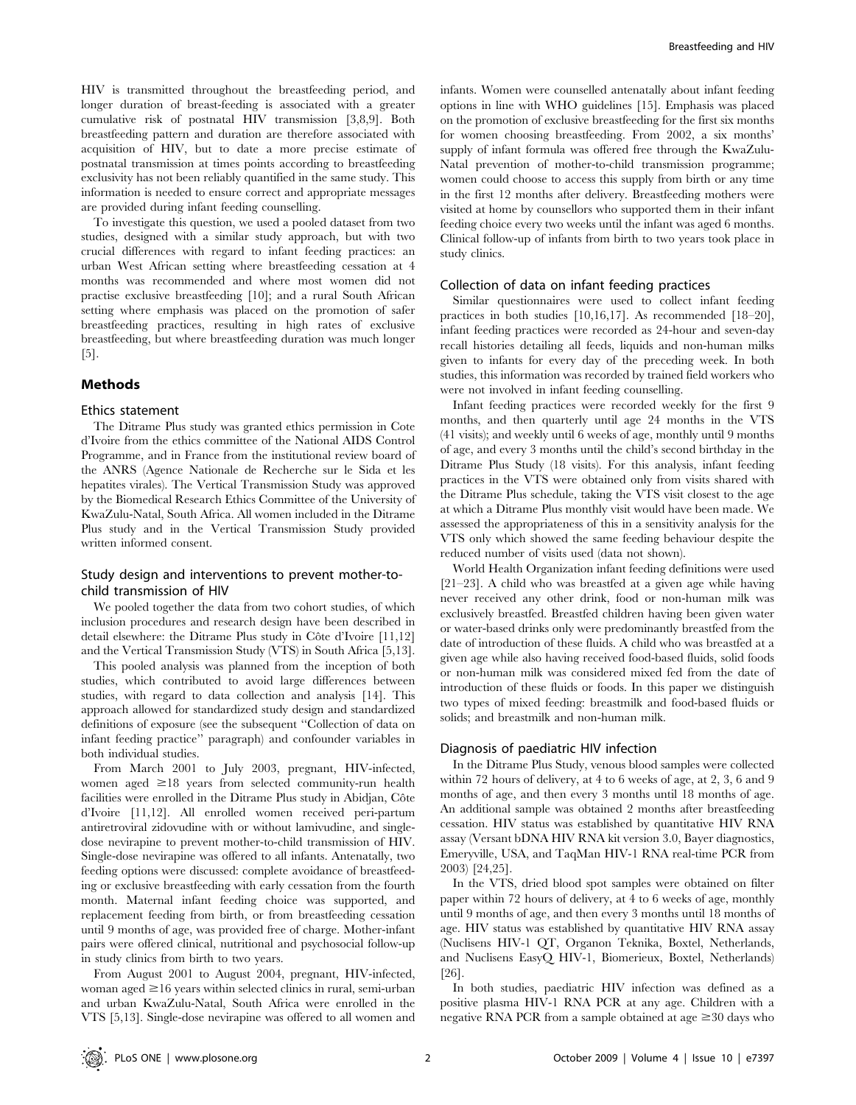HIV is transmitted throughout the breastfeeding period, and longer duration of breast-feeding is associated with a greater cumulative risk of postnatal HIV transmission [3,8,9]. Both breastfeeding pattern and duration are therefore associated with acquisition of HIV, but to date a more precise estimate of postnatal transmission at times points according to breastfeeding exclusivity has not been reliably quantified in the same study. This information is needed to ensure correct and appropriate messages are provided during infant feeding counselling.

To investigate this question, we used a pooled dataset from two studies, designed with a similar study approach, but with two crucial differences with regard to infant feeding practices: an urban West African setting where breastfeeding cessation at 4 months was recommended and where most women did not practise exclusive breastfeeding [10]; and a rural South African setting where emphasis was placed on the promotion of safer breastfeeding practices, resulting in high rates of exclusive breastfeeding, but where breastfeeding duration was much longer [5].

## Methods

## Ethics statement

The Ditrame Plus study was granted ethics permission in Cote d'Ivoire from the ethics committee of the National AIDS Control Programme, and in France from the institutional review board of the ANRS (Agence Nationale de Recherche sur le Sida et les hepatites virales). The Vertical Transmission Study was approved by the Biomedical Research Ethics Committee of the University of KwaZulu-Natal, South Africa. All women included in the Ditrame Plus study and in the Vertical Transmission Study provided written informed consent.

# Study design and interventions to prevent mother-tochild transmission of HIV

We pooled together the data from two cohort studies, of which inclusion procedures and research design have been described in detail elsewhere: the Ditrame Plus study in Côte d'Ivoire [11,12] and the Vertical Transmission Study (VTS) in South Africa [5,13].

This pooled analysis was planned from the inception of both studies, which contributed to avoid large differences between studies, with regard to data collection and analysis [14]. This approach allowed for standardized study design and standardized definitions of exposure (see the subsequent ''Collection of data on infant feeding practice'' paragraph) and confounder variables in both individual studies.

From March 2001 to July 2003, pregnant, HIV-infected, women aged  $\geq$ 18 years from selected community-run health facilities were enrolled in the Ditrame Plus study in Abidjan, Côte d'Ivoire [11,12]. All enrolled women received peri-partum antiretroviral zidovudine with or without lamivudine, and singledose nevirapine to prevent mother-to-child transmission of HIV. Single-dose nevirapine was offered to all infants. Antenatally, two feeding options were discussed: complete avoidance of breastfeeding or exclusive breastfeeding with early cessation from the fourth month. Maternal infant feeding choice was supported, and replacement feeding from birth, or from breastfeeding cessation until 9 months of age, was provided free of charge. Mother-infant pairs were offered clinical, nutritional and psychosocial follow-up in study clinics from birth to two years.

From August 2001 to August 2004, pregnant, HIV-infected, woman aged  $\geq 16$  years within selected clinics in rural, semi-urban and urban KwaZulu-Natal, South Africa were enrolled in the VTS [5,13]. Single-dose nevirapine was offered to all women and infants. Women were counselled antenatally about infant feeding options in line with WHO guidelines [15]. Emphasis was placed on the promotion of exclusive breastfeeding for the first six months for women choosing breastfeeding. From 2002, a six months' supply of infant formula was offered free through the KwaZulu-Natal prevention of mother-to-child transmission programme; women could choose to access this supply from birth or any time in the first 12 months after delivery. Breastfeeding mothers were visited at home by counsellors who supported them in their infant feeding choice every two weeks until the infant was aged 6 months. Clinical follow-up of infants from birth to two years took place in study clinics.

### Collection of data on infant feeding practices

Similar questionnaires were used to collect infant feeding practices in both studies [10,16,17]. As recommended [18–20], infant feeding practices were recorded as 24-hour and seven-day recall histories detailing all feeds, liquids and non-human milks given to infants for every day of the preceding week. In both studies, this information was recorded by trained field workers who were not involved in infant feeding counselling.

Infant feeding practices were recorded weekly for the first 9 months, and then quarterly until age 24 months in the VTS (41 visits); and weekly until 6 weeks of age, monthly until 9 months of age, and every 3 months until the child's second birthday in the Ditrame Plus Study (18 visits). For this analysis, infant feeding practices in the VTS were obtained only from visits shared with the Ditrame Plus schedule, taking the VTS visit closest to the age at which a Ditrame Plus monthly visit would have been made. We assessed the appropriateness of this in a sensitivity analysis for the VTS only which showed the same feeding behaviour despite the reduced number of visits used (data not shown).

World Health Organization infant feeding definitions were used [21–23]. A child who was breastfed at a given age while having never received any other drink, food or non-human milk was exclusively breastfed. Breastfed children having been given water or water-based drinks only were predominantly breastfed from the date of introduction of these fluids. A child who was breastfed at a given age while also having received food-based fluids, solid foods or non-human milk was considered mixed fed from the date of introduction of these fluids or foods. In this paper we distinguish two types of mixed feeding: breastmilk and food-based fluids or solids; and breastmilk and non-human milk.

## Diagnosis of paediatric HIV infection

In the Ditrame Plus Study, venous blood samples were collected within 72 hours of delivery, at 4 to 6 weeks of age, at 2, 3, 6 and 9 months of age, and then every 3 months until 18 months of age. An additional sample was obtained 2 months after breastfeeding cessation. HIV status was established by quantitative HIV RNA assay (Versant bDNA HIV RNA kit version 3.0, Bayer diagnostics, Emeryville, USA, and TaqMan HIV-1 RNA real-time PCR from 2003) [24,25].

In the VTS, dried blood spot samples were obtained on filter paper within 72 hours of delivery, at 4 to 6 weeks of age, monthly until 9 months of age, and then every 3 months until 18 months of age. HIV status was established by quantitative HIV RNA assay (Nuclisens HIV-1 QT, Organon Teknika, Boxtel, Netherlands, and Nuclisens EasyQ HIV-1, Biomerieux, Boxtel, Netherlands) [26].

In both studies, paediatric HIV infection was defined as a positive plasma HIV-1 RNA PCR at any age. Children with a negative RNA PCR from a sample obtained at age  $\geq 30$  days who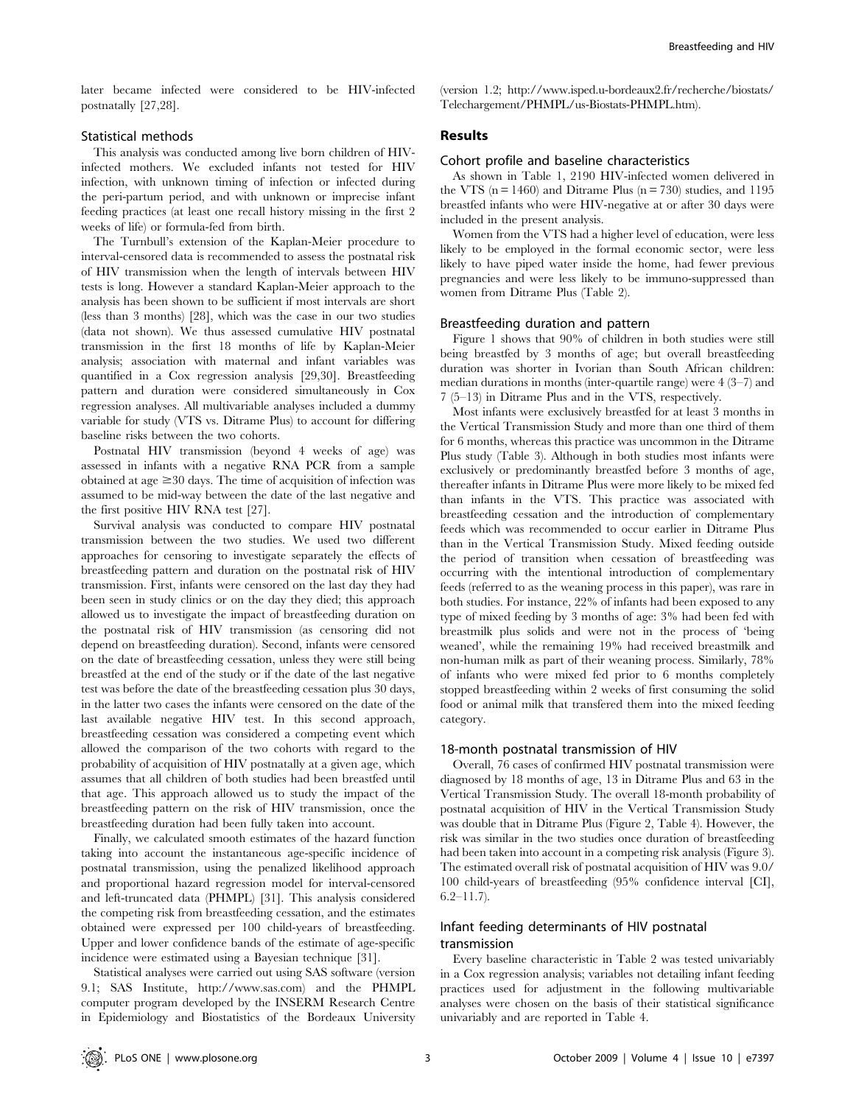later became infected were considered to be HIV-infected postnatally [27,28].

## Statistical methods

This analysis was conducted among live born children of HIVinfected mothers. We excluded infants not tested for HIV infection, with unknown timing of infection or infected during the peri-partum period, and with unknown or imprecise infant feeding practices (at least one recall history missing in the first 2 weeks of life) or formula-fed from birth.

The Turnbull's extension of the Kaplan-Meier procedure to interval-censored data is recommended to assess the postnatal risk of HIV transmission when the length of intervals between HIV tests is long. However a standard Kaplan-Meier approach to the analysis has been shown to be sufficient if most intervals are short (less than 3 months) [28], which was the case in our two studies (data not shown). We thus assessed cumulative HIV postnatal transmission in the first 18 months of life by Kaplan-Meier analysis; association with maternal and infant variables was quantified in a Cox regression analysis [29,30]. Breastfeeding pattern and duration were considered simultaneously in Cox regression analyses. All multivariable analyses included a dummy variable for study (VTS vs. Ditrame Plus) to account for differing baseline risks between the two cohorts.

Postnatal HIV transmission (beyond 4 weeks of age) was assessed in infants with a negative RNA PCR from a sample obtained at age  $\geq 30$  days. The time of acquisition of infection was assumed to be mid-way between the date of the last negative and the first positive HIV RNA test [27].

Survival analysis was conducted to compare HIV postnatal transmission between the two studies. We used two different approaches for censoring to investigate separately the effects of breastfeeding pattern and duration on the postnatal risk of HIV transmission. First, infants were censored on the last day they had been seen in study clinics or on the day they died; this approach allowed us to investigate the impact of breastfeeding duration on the postnatal risk of HIV transmission (as censoring did not depend on breastfeeding duration). Second, infants were censored on the date of breastfeeding cessation, unless they were still being breastfed at the end of the study or if the date of the last negative test was before the date of the breastfeeding cessation plus 30 days, in the latter two cases the infants were censored on the date of the last available negative HIV test. In this second approach, breastfeeding cessation was considered a competing event which allowed the comparison of the two cohorts with regard to the probability of acquisition of HIV postnatally at a given age, which assumes that all children of both studies had been breastfed until that age. This approach allowed us to study the impact of the breastfeeding pattern on the risk of HIV transmission, once the breastfeeding duration had been fully taken into account.

Finally, we calculated smooth estimates of the hazard function taking into account the instantaneous age-specific incidence of postnatal transmission, using the penalized likelihood approach and proportional hazard regression model for interval-censored and left-truncated data (PHMPL) [31]. This analysis considered the competing risk from breastfeeding cessation, and the estimates obtained were expressed per 100 child-years of breastfeeding. Upper and lower confidence bands of the estimate of age-specific incidence were estimated using a Bayesian technique [31].

Statistical analyses were carried out using SAS software (version 9.1; SAS Institute, http://www.sas.com) and the PHMPL computer program developed by the INSERM Research Centre in Epidemiology and Biostatistics of the Bordeaux University

(version 1.2; http://www.isped.u-bordeaux2.fr/recherche/biostats/ Telechargement/PHMPL/us-Biostats-PHMPL.htm).

# Results

#### Cohort profile and baseline characteristics

As shown in Table 1, 2190 HIV-infected women delivered in the VTS ( $n = 1460$ ) and Ditrame Plus ( $n = 730$ ) studies, and 1195 breastfed infants who were HIV-negative at or after 30 days were included in the present analysis.

Women from the VTS had a higher level of education, were less likely to be employed in the formal economic sector, were less likely to have piped water inside the home, had fewer previous pregnancies and were less likely to be immuno-suppressed than women from Ditrame Plus (Table 2).

## Breastfeeding duration and pattern

Figure 1 shows that 90% of children in both studies were still being breastfed by 3 months of age; but overall breastfeeding duration was shorter in Ivorian than South African children: median durations in months (inter-quartile range) were 4 (3–7) and 7 (5–13) in Ditrame Plus and in the VTS, respectively.

Most infants were exclusively breastfed for at least 3 months in the Vertical Transmission Study and more than one third of them for 6 months, whereas this practice was uncommon in the Ditrame Plus study (Table 3). Although in both studies most infants were exclusively or predominantly breastfed before 3 months of age, thereafter infants in Ditrame Plus were more likely to be mixed fed than infants in the VTS. This practice was associated with breastfeeding cessation and the introduction of complementary feeds which was recommended to occur earlier in Ditrame Plus than in the Vertical Transmission Study. Mixed feeding outside the period of transition when cessation of breastfeeding was occurring with the intentional introduction of complementary feeds (referred to as the weaning process in this paper), was rare in both studies. For instance, 22% of infants had been exposed to any type of mixed feeding by 3 months of age: 3% had been fed with breastmilk plus solids and were not in the process of 'being weaned', while the remaining 19% had received breastmilk and non-human milk as part of their weaning process. Similarly, 78% of infants who were mixed fed prior to 6 months completely stopped breastfeeding within 2 weeks of first consuming the solid food or animal milk that transfered them into the mixed feeding category.

#### 18-month postnatal transmission of HIV

Overall, 76 cases of confirmed HIV postnatal transmission were diagnosed by 18 months of age, 13 in Ditrame Plus and 63 in the Vertical Transmission Study. The overall 18-month probability of postnatal acquisition of HIV in the Vertical Transmission Study was double that in Ditrame Plus (Figure 2, Table 4). However, the risk was similar in the two studies once duration of breastfeeding had been taken into account in a competing risk analysis (Figure 3). The estimated overall risk of postnatal acquisition of HIV was 9.0/ 100 child-years of breastfeeding (95% confidence interval [CI],  $6.2–11.7$ ).

# Infant feeding determinants of HIV postnatal transmission

Every baseline characteristic in Table 2 was tested univariably in a Cox regression analysis; variables not detailing infant feeding practices used for adjustment in the following multivariable analyses were chosen on the basis of their statistical significance univariably and are reported in Table 4.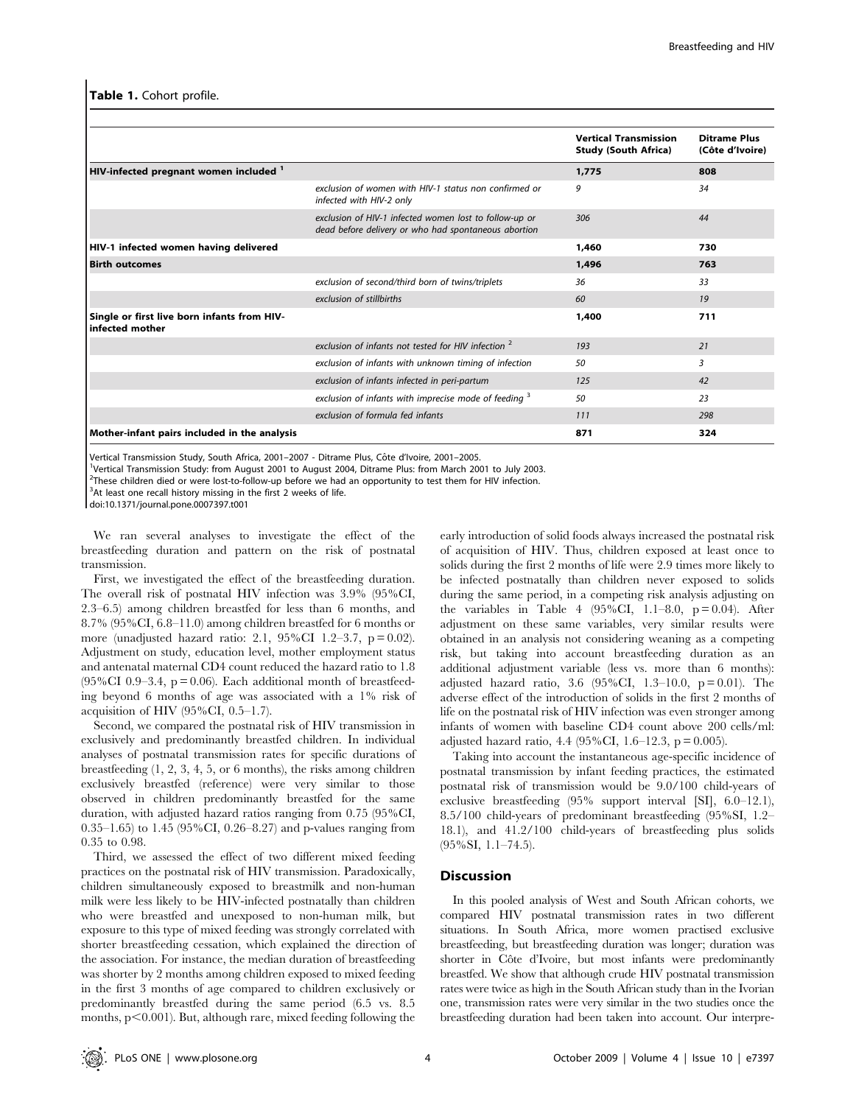#### Table 1. Cohort profile.

|                                                                |                                                                                                                | <b>Vertical Transmission</b><br><b>Study (South Africa)</b> | <b>Ditrame Plus</b><br>(Côte d'Ivoire) |
|----------------------------------------------------------------|----------------------------------------------------------------------------------------------------------------|-------------------------------------------------------------|----------------------------------------|
| HIV-infected pregnant women included 1                         |                                                                                                                | 1,775                                                       | 808                                    |
|                                                                | exclusion of women with HIV-1 status non confirmed or<br>infected with HIV-2 only                              | 9                                                           | 34                                     |
|                                                                | exclusion of HIV-1 infected women lost to follow-up or<br>dead before delivery or who had spontaneous abortion | 306                                                         | 44                                     |
| HIV-1 infected women having delivered                          |                                                                                                                | 1,460                                                       | 730                                    |
| <b>Birth outcomes</b>                                          |                                                                                                                | 1,496                                                       | 763                                    |
|                                                                | exclusion of second/third born of twins/triplets                                                               | 36                                                          | 33                                     |
|                                                                | exclusion of stillbirths                                                                                       | 60                                                          | 19                                     |
| Single or first live born infants from HIV-<br>infected mother |                                                                                                                | 1,400                                                       | 711                                    |
|                                                                | exclusion of infants not tested for HIV infection <sup>2</sup>                                                 | 193                                                         | 21                                     |
|                                                                | exclusion of infants with unknown timing of infection                                                          | 50                                                          | 3                                      |
|                                                                | exclusion of infants infected in peri-partum                                                                   | 125                                                         | 42                                     |
|                                                                | exclusion of infants with imprecise mode of feeding <sup>3</sup>                                               | 50                                                          | 23                                     |
|                                                                | exclusion of formula fed infants                                                                               | <b>111</b>                                                  | 298                                    |
| Mother-infant pairs included in the analysis                   |                                                                                                                | 871                                                         | 324                                    |

Vertical Transmission Study, South Africa, 2001–2007 - Ditrame Plus, Côte d'Ivoire, 2001–2005.

<sup>1</sup>Vertical Transmission Study: from August 2001 to August 2004, Ditrame Plus: from March 2001 to July 2003.

<sup>2</sup>These children died or were lost-to-follow-up before we had an opportunity to test them for HIV infection.

<sup>3</sup>At least one recall history missing in the first 2 weeks of life.

doi:10.1371/journal.pone.0007397.t001

We ran several analyses to investigate the effect of the breastfeeding duration and pattern on the risk of postnatal transmission.

First, we investigated the effect of the breastfeeding duration. The overall risk of postnatal HIV infection was 3.9% (95%CI, 2.3–6.5) among children breastfed for less than 6 months, and 8.7% (95%CI, 6.8–11.0) among children breastfed for 6 months or more (unadjusted hazard ratio: 2.1,  $95\%$ CI 1.2–3.7, p = 0.02). Adjustment on study, education level, mother employment status and antenatal maternal CD4 count reduced the hazard ratio to 1.8 (95%CI 0.9-3.4,  $p = 0.06$ ). Each additional month of breastfeeding beyond 6 months of age was associated with a 1% risk of acquisition of HIV  $(95\% CI, 0.5-1.7)$ .

Second, we compared the postnatal risk of HIV transmission in exclusively and predominantly breastfed children. In individual analyses of postnatal transmission rates for specific durations of breastfeeding (1, 2, 3, 4, 5, or 6 months), the risks among children exclusively breastfed (reference) were very similar to those observed in children predominantly breastfed for the same duration, with adjusted hazard ratios ranging from 0.75 (95%CI, 0.35–1.65) to 1.45 (95%CI, 0.26–8.27) and p-values ranging from 0.35 to 0.98.

Third, we assessed the effect of two different mixed feeding practices on the postnatal risk of HIV transmission. Paradoxically, children simultaneously exposed to breastmilk and non-human milk were less likely to be HIV-infected postnatally than children who were breastfed and unexposed to non-human milk, but exposure to this type of mixed feeding was strongly correlated with shorter breastfeeding cessation, which explained the direction of the association. For instance, the median duration of breastfeeding was shorter by 2 months among children exposed to mixed feeding in the first 3 months of age compared to children exclusively or predominantly breastfed during the same period (6.5 vs. 8.5 months,  $p<0.001$ ). But, although rare, mixed feeding following the

early introduction of solid foods always increased the postnatal risk of acquisition of HIV. Thus, children exposed at least once to solids during the first 2 months of life were 2.9 times more likely to be infected postnatally than children never exposed to solids during the same period, in a competing risk analysis adjusting on the variables in Table 4 (95%CI, 1.1–8.0,  $p = 0.04$ ). After adjustment on these same variables, very similar results were obtained in an analysis not considering weaning as a competing risk, but taking into account breastfeeding duration as an additional adjustment variable (less vs. more than 6 months): adjusted hazard ratio, 3.6 (95%CI, 1.3-10.0,  $p = 0.01$ ). The adverse effect of the introduction of solids in the first 2 months of life on the postnatal risk of HIV infection was even stronger among infants of women with baseline CD4 count above 200 cells/ml: adjusted hazard ratio, 4.4 (95%CI, 1.6–12.3, p = 0.005).

Taking into account the instantaneous age-specific incidence of postnatal transmission by infant feeding practices, the estimated postnatal risk of transmission would be 9.0/100 child-years of exclusive breastfeeding (95% support interval [SI], 6.0–12.1), 8.5/100 child-years of predominant breastfeeding (95%SI, 1.2– 18.1), and 41.2/100 child-years of breastfeeding plus solids (95%SI, 1.1–74.5).

# **Discussion**

In this pooled analysis of West and South African cohorts, we compared HIV postnatal transmission rates in two different situations. In South Africa, more women practised exclusive breastfeeding, but breastfeeding duration was longer; duration was shorter in Côte d'Ivoire, but most infants were predominantly breastfed. We show that although crude HIV postnatal transmission rates were twice as high in the South African study than in the Ivorian one, transmission rates were very similar in the two studies once the breastfeeding duration had been taken into account. Our interpre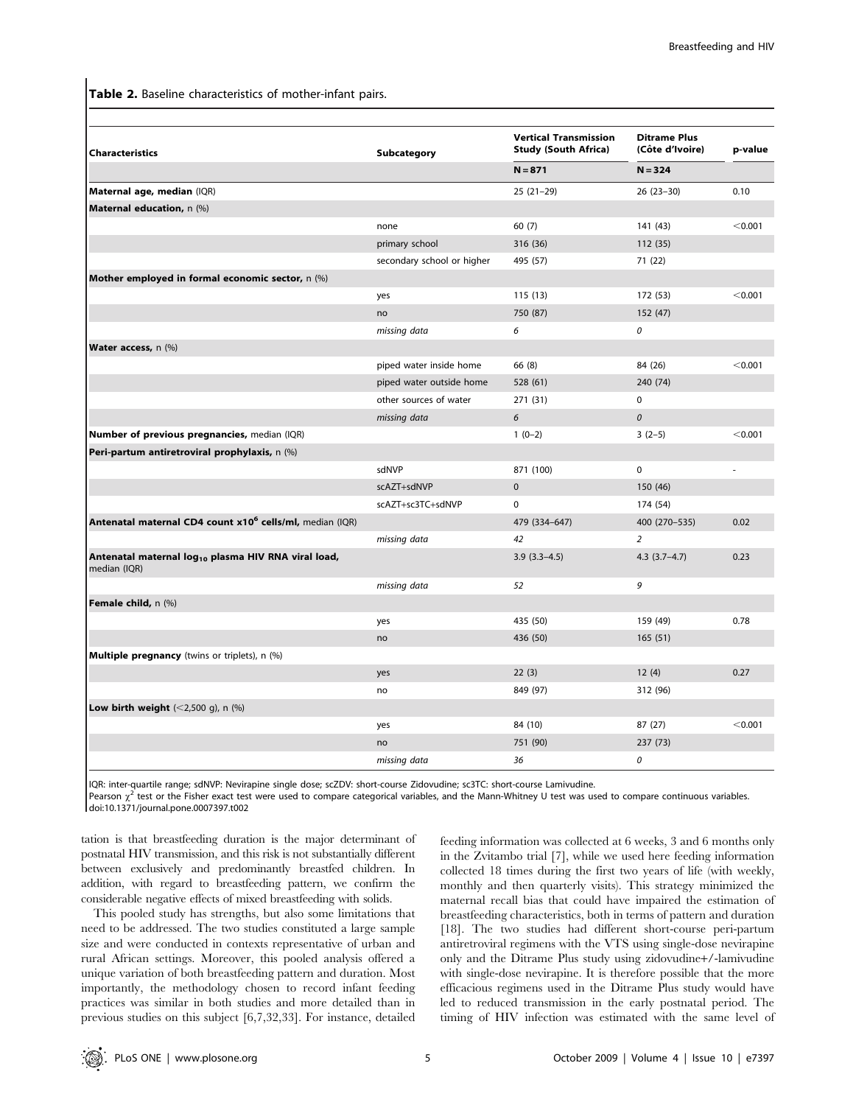Table 2. Baseline characteristics of mother-infant pairs.

| <b>Characteristics</b>                                                          | Subcategory                | <b>Vertical Transmission</b><br><b>Study (South Africa)</b> | <b>Ditrame Plus</b><br>(Côte d'Ivoire) | p-value |  |
|---------------------------------------------------------------------------------|----------------------------|-------------------------------------------------------------|----------------------------------------|---------|--|
|                                                                                 |                            | $N = 871$                                                   | $N = 324$                              |         |  |
| Maternal age, median (IQR)                                                      |                            | $25(21-29)$                                                 | $26(23-30)$                            | 0.10    |  |
| <b>Maternal education, n (%)</b>                                                |                            |                                                             |                                        |         |  |
|                                                                                 | none                       | 60(7)                                                       | 141 (43)                               | < 0.001 |  |
|                                                                                 | primary school             | 316 (36)                                                    | 112 (35)                               |         |  |
|                                                                                 | secondary school or higher | 495 (57)                                                    | 71 (22)                                |         |  |
| Mother employed in formal economic sector, n (%)                                |                            |                                                             |                                        |         |  |
|                                                                                 | yes                        | 115(13)                                                     | 172 (53)                               | < 0.001 |  |
|                                                                                 | no                         | 750 (87)                                                    | 152 (47)                               |         |  |
|                                                                                 | missing data               | 6                                                           | 0                                      |         |  |
| Water access, n (%)                                                             |                            |                                                             |                                        |         |  |
|                                                                                 | piped water inside home    | 66 (8)                                                      | 84 (26)                                | < 0.001 |  |
|                                                                                 | piped water outside home   | 528 (61)                                                    | 240 (74)                               |         |  |
|                                                                                 | other sources of water     | 271 (31)                                                    | $\pmb{0}$                              |         |  |
|                                                                                 | missing data               | 6                                                           | 0                                      |         |  |
| Number of previous pregnancies, median (IQR)                                    |                            | $1(0-2)$                                                    | $3(2-5)$                               | < 0.001 |  |
| Peri-partum antiretroviral prophylaxis, n (%)                                   |                            |                                                             |                                        |         |  |
|                                                                                 | sdNVP                      | 871 (100)                                                   | $\mathbf 0$                            |         |  |
|                                                                                 | scAZT+sdNVP                | $\pmb{0}$                                                   | 150 (46)                               |         |  |
|                                                                                 | scAZT+sc3TC+sdNVP          | $\mathbf 0$                                                 | 174 (54)                               |         |  |
| Antenatal maternal CD4 count x10 <sup>6</sup> cells/ml, median (IQR)            |                            | 479 (334-647)                                               | 400 (270-535)                          | 0.02    |  |
|                                                                                 | missing data               | 42                                                          | $\overline{a}$                         |         |  |
| Antenatal maternal log <sub>10</sub> plasma HIV RNA viral load,<br>median (IQR) |                            | $3.9(3.3-4.5)$                                              | $4.3(3.7-4.7)$                         | 0.23    |  |
|                                                                                 | missing data               | 52                                                          | 9                                      |         |  |
| Female child, n (%)                                                             |                            |                                                             |                                        |         |  |
|                                                                                 | yes                        | 435 (50)                                                    | 159 (49)                               | 0.78    |  |
|                                                                                 | no                         | 436 (50)                                                    | 165(51)                                |         |  |
| <b>Multiple pregnancy</b> (twins or triplets), n (%)                            |                            |                                                             |                                        |         |  |
|                                                                                 | yes                        | 22(3)                                                       | 12(4)                                  | 0.27    |  |
|                                                                                 | no                         | 849 (97)                                                    | 312 (96)                               |         |  |
| Low birth weight $(<2,500$ g), n $(\%)$                                         |                            |                                                             |                                        |         |  |
|                                                                                 | yes                        | 84 (10)                                                     | 87(27)                                 | < 0.001 |  |
|                                                                                 | no                         | 751 (90)                                                    | 237 (73)                               |         |  |
|                                                                                 | missing data               | 36                                                          | 0                                      |         |  |

IQR: inter-quartile range; sdNVP: Nevirapine single dose; scZDV: short-course Zidovudine; sc3TC: short-course Lamivudine.

Pearson  $\chi^2$  test or the Fisher exact test were used to compare categorical variables, and the Mann-Whitney U test was used to compare continuous variables. doi:10.1371/journal.pone.0007397.t002

tation is that breastfeeding duration is the major determinant of postnatal HIV transmission, and this risk is not substantially different between exclusively and predominantly breastfed children. In addition, with regard to breastfeeding pattern, we confirm the considerable negative effects of mixed breastfeeding with solids.

This pooled study has strengths, but also some limitations that need to be addressed. The two studies constituted a large sample size and were conducted in contexts representative of urban and rural African settings. Moreover, this pooled analysis offered a unique variation of both breastfeeding pattern and duration. Most importantly, the methodology chosen to record infant feeding practices was similar in both studies and more detailed than in previous studies on this subject [6,7,32,33]. For instance, detailed

feeding information was collected at 6 weeks, 3 and 6 months only in the Zvitambo trial [7], while we used here feeding information collected 18 times during the first two years of life (with weekly, monthly and then quarterly visits). This strategy minimized the maternal recall bias that could have impaired the estimation of breastfeeding characteristics, both in terms of pattern and duration [18]. The two studies had different short-course peri-partum antiretroviral regimens with the VTS using single-dose nevirapine only and the Ditrame Plus study using zidovudine+/-lamivudine with single-dose nevirapine. It is therefore possible that the more efficacious regimens used in the Ditrame Plus study would have led to reduced transmission in the early postnatal period. The timing of HIV infection was estimated with the same level of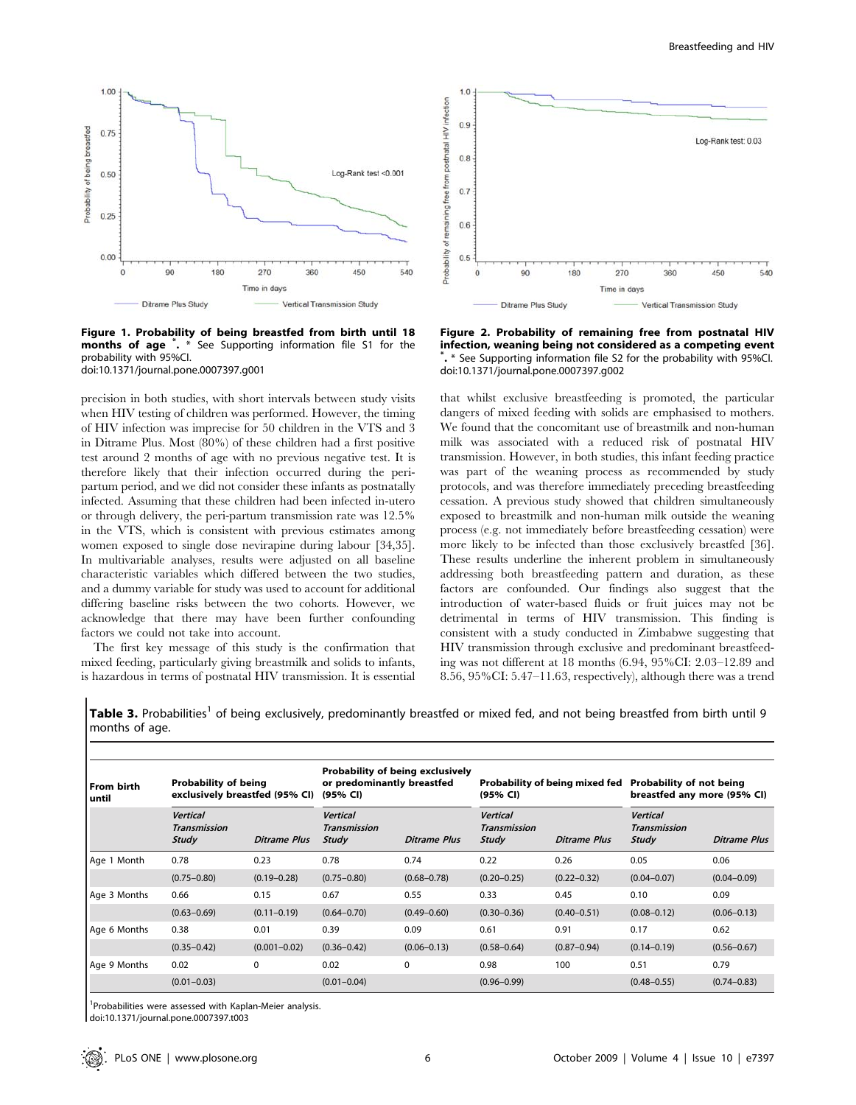

Figure 1. Probability of being breastfed from birth until 18 months of age  $\ddot{\cdot}$ .  $\dot{\cdot}$ See Supporting information file S1 for the probability with 95%CI. doi:10.1371/journal.pone.0007397.g001

precision in both studies, with short intervals between study visits when HIV testing of children was performed. However, the timing of HIV infection was imprecise for 50 children in the VTS and 3 in Ditrame Plus. Most (80%) of these children had a first positive test around 2 months of age with no previous negative test. It is therefore likely that their infection occurred during the peripartum period, and we did not consider these infants as postnatally infected. Assuming that these children had been infected in-utero or through delivery, the peri-partum transmission rate was 12.5% in the VTS, which is consistent with previous estimates among women exposed to single dose nevirapine during labour [34,35]. In multivariable analyses, results were adjusted on all baseline characteristic variables which differed between the two studies, and a dummy variable for study was used to account for additional differing baseline risks between the two cohorts. However, we acknowledge that there may have been further confounding factors we could not take into account.

The first key message of this study is the confirmation that mixed feeding, particularly giving breastmilk and solids to infants, is hazardous in terms of postnatal HIV transmission. It is essential



Figure 2. Probability of remaining free from postnatal HIV infection, weaning being not considered as a competing event \* . \* See Supporting information file S2 for the probability with 95%CI. doi:10.1371/journal.pone.0007397.g002

that whilst exclusive breastfeeding is promoted, the particular dangers of mixed feeding with solids are emphasised to mothers. We found that the concomitant use of breastmilk and non-human milk was associated with a reduced risk of postnatal HIV transmission. However, in both studies, this infant feeding practice was part of the weaning process as recommended by study protocols, and was therefore immediately preceding breastfeeding cessation. A previous study showed that children simultaneously exposed to breastmilk and non-human milk outside the weaning process (e.g. not immediately before breastfeeding cessation) were more likely to be infected than those exclusively breastfed [36]. These results underline the inherent problem in simultaneously addressing both breastfeeding pattern and duration, as these factors are confounded. Our findings also suggest that the introduction of water-based fluids or fruit juices may not be detrimental in terms of HIV transmission. This finding is consistent with a study conducted in Zimbabwe suggesting that HIV transmission through exclusive and predominant breastfeeding was not different at 18 months (6.94, 95%CI: 2.03–12.89 and 8.56, 95%CI: 5.47–11.63, respectively), although there was a trend

Table 3. Probabilities<sup>1</sup> of being exclusively, predominantly breastfed or mixed fed, and not being breastfed from birth until 9 months of age.

| l From birth<br>l until | <b>Probability of being</b>                     |                                                       | <b>Probability of being exclusively</b><br>or predominantly breastfed |                     | Probability of being mixed fed                              |                 | Probability of not being                                                       |                     |
|-------------------------|-------------------------------------------------|-------------------------------------------------------|-----------------------------------------------------------------------|---------------------|-------------------------------------------------------------|-----------------|--------------------------------------------------------------------------------|---------------------|
|                         | Vertical<br><b>Transmission</b><br><b>Study</b> | exclusively breastfed (95% CI)<br><b>Ditrame Plus</b> | (95% CI)<br>Vertical<br><b>Transmission</b><br><b>Study</b>           | <b>Ditrame Plus</b> | (95% CI)<br>Vertical<br><b>Transmission</b><br><b>Study</b> | Ditrame Plus    | breastfed any more (95% CI)<br>Vertical<br><b>Transmission</b><br><b>Study</b> | <b>Ditrame Plus</b> |
| Age 1 Month             | 0.78                                            | 0.23                                                  | 0.78                                                                  | 0.74                | 0.22                                                        | 0.26            | 0.05                                                                           | 0.06                |
|                         | $(0.75 - 0.80)$                                 | $(0.19 - 0.28)$                                       | $(0.75 - 0.80)$                                                       | $(0.68 - 0.78)$     | $(0.20 - 0.25)$                                             | $(0.22 - 0.32)$ | $(0.04 - 0.07)$                                                                | $(0.04 - 0.09)$     |
| Age 3 Months            | 0.66                                            | 0.15                                                  | 0.67                                                                  | 0.55                | 0.33                                                        | 0.45            | 0.10                                                                           | 0.09                |
|                         | $(0.63 - 0.69)$                                 | $(0.11 - 0.19)$                                       | $(0.64 - 0.70)$                                                       | $(0.49 - 0.60)$     | $(0.30 - 0.36)$                                             | $(0.40 - 0.51)$ | $(0.08 - 0.12)$                                                                | $(0.06 - 0.13)$     |
| Age 6 Months            | 0.38                                            | 0.01                                                  | 0.39                                                                  | 0.09                | 0.61                                                        | 0.91            | 0.17                                                                           | 0.62                |
|                         | $(0.35 - 0.42)$                                 | $(0.001 - 0.02)$                                      | $(0.36 - 0.42)$                                                       | $(0.06 - 0.13)$     | $(0.58 - 0.64)$                                             | $(0.87 - 0.94)$ | $(0.14 - 0.19)$                                                                | $(0.56 - 0.67)$     |
| Age 9 Months            | 0.02                                            | $\mathbf 0$                                           | 0.02                                                                  | $\Omega$            | 0.98                                                        | 100             | 0.51                                                                           | 0.79                |
|                         | $(0.01 - 0.03)$                                 |                                                       | $(0.01 - 0.04)$                                                       |                     | $(0.96 - 0.99)$                                             |                 | $(0.48 - 0.55)$                                                                | $(0.74 - 0.83)$     |

<sup>1</sup> Probabilities were assessed with Kaplan-Meier analysis.

doi:10.1371/journal.pone.0007397.t003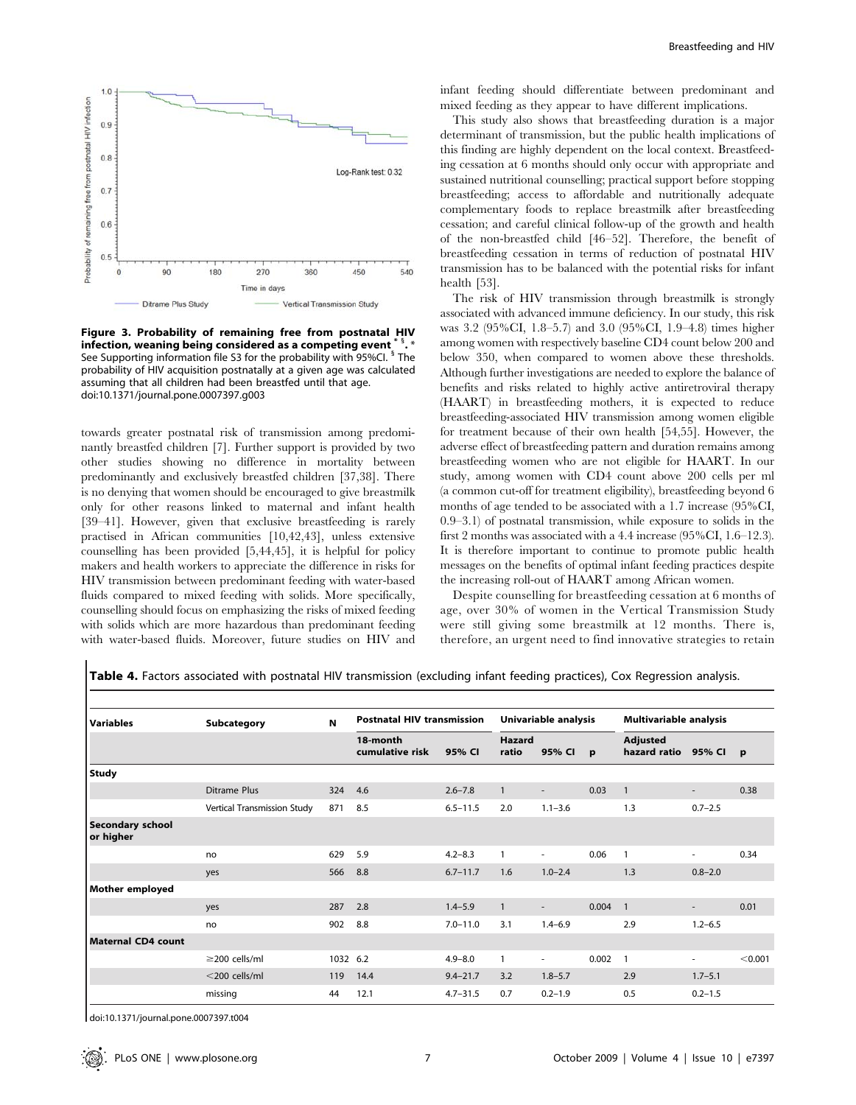

Figure 3. Probability of remaining free from postnatal HIV infection, weaning being considered as a competing event **infection, weaning being considered as a competing event** \* <sup>s</sup> . \*<br>See Supporting information file S3 for the probability with 95%Cl. <sup>s</sup> The probability of HIV acquisition postnatally at a given age was calculated assuming that all children had been breastfed until that age. doi:10.1371/journal.pone.0007397.g003

towards greater postnatal risk of transmission among predominantly breastfed children [7]. Further support is provided by two other studies showing no difference in mortality between predominantly and exclusively breastfed children [37,38]. There is no denying that women should be encouraged to give breastmilk only for other reasons linked to maternal and infant health [39–41]. However, given that exclusive breastfeeding is rarely practised in African communities [10,42,43], unless extensive counselling has been provided [5,44,45], it is helpful for policy makers and health workers to appreciate the difference in risks for HIV transmission between predominant feeding with water-based fluids compared to mixed feeding with solids. More specifically, counselling should focus on emphasizing the risks of mixed feeding with solids which are more hazardous than predominant feeding with water-based fluids. Moreover, future studies on HIV and infant feeding should differentiate between predominant and mixed feeding as they appear to have different implications.

This study also shows that breastfeeding duration is a major determinant of transmission, but the public health implications of this finding are highly dependent on the local context. Breastfeeding cessation at 6 months should only occur with appropriate and sustained nutritional counselling; practical support before stopping breastfeeding; access to affordable and nutritionally adequate complementary foods to replace breastmilk after breastfeeding cessation; and careful clinical follow-up of the growth and health of the non-breastfed child [46–52]. Therefore, the benefit of breastfeeding cessation in terms of reduction of postnatal HIV transmission has to be balanced with the potential risks for infant health [53].

The risk of HIV transmission through breastmilk is strongly associated with advanced immune deficiency. In our study, this risk was 3.2 (95%CI, 1.8–5.7) and 3.0 (95%CI, 1.9–4.8) times higher among women with respectively baseline CD4 count below 200 and below 350, when compared to women above these thresholds. Although further investigations are needed to explore the balance of benefits and risks related to highly active antiretroviral therapy (HAART) in breastfeeding mothers, it is expected to reduce breastfeeding-associated HIV transmission among women eligible for treatment because of their own health [54,55]. However, the adverse effect of breastfeeding pattern and duration remains among breastfeeding women who are not eligible for HAART. In our study, among women with CD4 count above 200 cells per ml (a common cut-off for treatment eligibility), breastfeeding beyond 6 months of age tended to be associated with a 1.7 increase (95%CI, 0.9–3.1) of postnatal transmission, while exposure to solids in the first 2 months was associated with a 4.4 increase (95%CI, 1.6–12.3). It is therefore important to continue to promote public health messages on the benefits of optimal infant feeding practices despite the increasing roll-out of HAART among African women.

Despite counselling for breastfeeding cessation at 6 months of age, over 30% of women in the Vertical Transmission Study were still giving some breastmilk at 12 months. There is, therefore, an urgent need to find innovative strategies to retain

Table 4. Factors associated with postnatal HIV transmission (excluding infant feeding practices), Cox Regression analysis.

| Variables                            | Subcategory                 | N        | <b>Postnatal HIV transmission</b> |              | Univariable analysis |                          |       | Multivariable analysis                 |                          |         |
|--------------------------------------|-----------------------------|----------|-----------------------------------|--------------|----------------------|--------------------------|-------|----------------------------------------|--------------------------|---------|
|                                      |                             |          | 18-month<br>cumulative risk       | 95% CI       | Hazard<br>ratio      | 95% CI                   | p     | <b>Adjusted</b><br>hazard ratio 95% Cl |                          | p       |
| Study                                |                             |          |                                   |              |                      |                          |       |                                        |                          |         |
|                                      | <b>Ditrame Plus</b>         | 324      | 4.6                               | $2.6 - 7.8$  | $\mathbf{1}$         | $\overline{\phantom{a}}$ | 0.03  | $\mathbf{1}$                           | $\sim$                   | 0.38    |
|                                      | Vertical Transmission Study | 871      | 8.5                               | $6.5 - 11.5$ | 2.0                  | $1.1 - 3.6$              |       | 1.3                                    | $0.7 - 2.5$              |         |
| <b>Secondary school</b><br>or higher |                             |          |                                   |              |                      |                          |       |                                        |                          |         |
|                                      | no                          | 629      | 5.9                               | $4.2 - 8.3$  | 1                    | $\overline{\phantom{a}}$ | 0.06  | $\mathbf{1}$                           | $\sim$                   | 0.34    |
|                                      | yes                         | 566      | 8.8                               | $6.7 - 11.7$ | 1.6                  | $1.0 - 2.4$              |       | 1.3                                    | $0.8 - 2.0$              |         |
| Mother employed                      |                             |          |                                   |              |                      |                          |       |                                        |                          |         |
|                                      | yes                         | 287      | 2.8                               | $1.4 - 5.9$  | $\mathbf{1}$         | $\overline{\phantom{a}}$ | 0.004 | $\overline{1}$                         | $\overline{\phantom{a}}$ | 0.01    |
|                                      | no                          | 902      | 8.8                               | $7.0 - 11.0$ | 3.1                  | $1.4 - 6.9$              |       | 2.9                                    | $1.2 - 6.5$              |         |
| <b>Maternal CD4 count</b>            |                             |          |                                   |              |                      |                          |       |                                        |                          |         |
|                                      | $\geq$ 200 cells/ml         | 1032 6.2 |                                   | $4.9 - 8.0$  | $\mathbf{1}$         | $\overline{\phantom{a}}$ | 0.002 | $\mathbf{1}$                           | $\sim$                   | < 0.001 |
|                                      | $<$ 200 cells/ml            | 119      | 14.4                              | $9.4 - 21.7$ | 3.2                  | $1.8 - 5.7$              |       | 2.9                                    | $1.7 - 5.1$              |         |
|                                      | missing                     | 44       | 12.1                              | $4.7 - 31.5$ | 0.7                  | $0.2 - 1.9$              |       | 0.5                                    | $0.2 - 1.5$              |         |

doi:10.1371/journal.pone.0007397.t004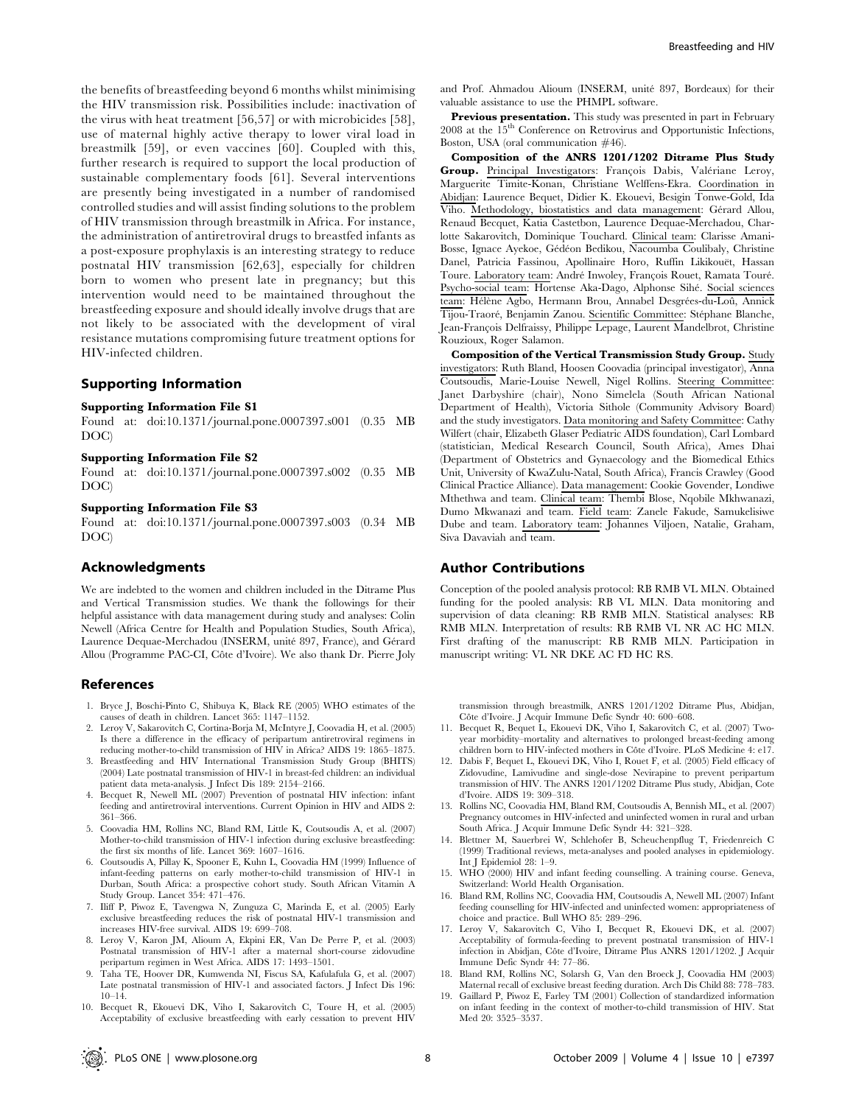the benefits of breastfeeding beyond 6 months whilst minimising the HIV transmission risk. Possibilities include: inactivation of the virus with heat treatment [56,57] or with microbicides [58], use of maternal highly active therapy to lower viral load in breastmilk [59], or even vaccines [60]. Coupled with this, further research is required to support the local production of sustainable complementary foods [61]. Several interventions are presently being investigated in a number of randomised controlled studies and will assist finding solutions to the problem of HIV transmission through breastmilk in Africa. For instance, the administration of antiretroviral drugs to breastfed infants as a post-exposure prophylaxis is an interesting strategy to reduce postnatal HIV transmission [62,63], especially for children born to women who present late in pregnancy; but this intervention would need to be maintained throughout the breastfeeding exposure and should ideally involve drugs that are not likely to be associated with the development of viral resistance mutations compromising future treatment options for HIV-infected children.

## Supporting Information

#### Supporting Information File S1

Found at: doi:10.1371/journal.pone.0007397.s001 (0.35 MB DOC)

## Supporting Information File S2

Found at: doi:10.1371/journal.pone.0007397.s002 (0.35 MB DOC)

# Supporting Information File S3

Found at: doi:10.1371/journal.pone.0007397.s003 (0.34 MB DOC)

## Acknowledgments

We are indebted to the women and children included in the Ditrame Plus and Vertical Transmission studies. We thank the followings for their helpful assistance with data management during study and analyses: Colin Newell (Africa Centre for Health and Population Studies, South Africa), Laurence Dequae-Merchadou (INSERM, unité 897, France), and Gérard Allou (Programme PAC-CI, Côte d'Ivoire). We also thank Dr. Pierre Joly

## References

- 1. Bryce J, Boschi-Pinto C, Shibuya K, Black RE (2005) WHO estimates of the causes of death in children. Lancet 365: 1147–1152.
- 2. Leroy V, Sakarovitch C, Cortina-Borja M, McIntyre J, Coovadia H, et al. (2005) Is there a difference in the efficacy of peripartum antiretroviral regimens in reducing mother-to-child transmission of HIV in Africa? AIDS 19: 1865–1875.
- 3. Breastfeeding and HIV International Transmission Study Group (BHITS) (2004) Late postnatal transmission of HIV-1 in breast-fed children: an individual patient data meta-analysis. J Infect Dis 189: 2154–2166.
- 4. Becquet R, Newell ML (2007) Prevention of postnatal HIV infection: infant feeding and antiretroviral interventions. Current Opinion in HIV and AIDS 2: 361–366.
- 5. Coovadia HM, Rollins NC, Bland RM, Little K, Coutsoudis A, et al. (2007) Mother-to-child transmission of HIV-1 infection during exclusive breastfeeding: the first six months of life. Lancet 369: 1607–1616.
- 6. Coutsoudis A, Pillay K, Spooner E, Kuhn L, Coovadia HM (1999) Influence of infant-feeding patterns on early mother-to-child transmission of HIV-1 in Durban, South Africa: a prospective cohort study. South African Vitamin A Study Group. Lancet 354: 471–476.
- 7. Iliff P, Piwoz E, Tavengwa N, Zunguza C, Marinda E, et al. (2005) Early exclusive breastfeeding reduces the risk of postnatal HIV-1 transmission and increases HIV-free survival. AIDS 19: 699–708.
- 8. Leroy V, Karon JM, Alioum A, Ekpini ER, Van De Perre P, et al. (2003) Postnatal transmission of HIV-1 after a maternal short-course zidovudine peripartum regimen in West Africa. AIDS 17: 1493–1501.
- 9. Taha TE, Hoover DR, Kumwenda NI, Fiscus SA, Kafulafula G, et al. (2007) Late postnatal transmission of HIV-1 and associated factors. J Infect Dis 196: 10–14.
- 10. Becquet R, Ekouevi DK, Viho I, Sakarovitch C, Toure H, et al. (2005) Acceptability of exclusive breastfeeding with early cessation to prevent HIV

and Prof. Ahmadou Alioum (INSERM, unité 897, Bordeaux) for their valuable assistance to use the PHMPL software.

**Previous presentation.** This study was presented in part in February 2008 at the 15<sup>th</sup> Conference on Retrovirus and Opportunistic Infections, Boston, USA (oral communication *#*46).

Composition of the ANRS 1201/1202 Ditrame Plus Study Group. Principal Investigators: François Dabis, Valériane Leroy, Marguerite Timite-Konan, Christiane Welffens-Ekra. Coordination in Abidjan: Laurence Bequet, Didier K. Ekouevi, Besigin Tonwe-Gold, Ida Viho. Methodology, biostatistics and data management: Gérard Allou, Renaud Becquet, Katia Castetbon, Laurence Dequae-Merchadou, Charlotte Sakarovitch, Dominique Touchard. Clinical team: Clarisse Amani-Bosse, Ignace Ayekoe, Gédéon Bedikou, Nacoumba Coulibaly, Christine Danel, Patricia Fassinou, Apollinaire Horo, Ruffin Likikouët, Hassan Toure. Laboratory team: André Inwoley, François Rouet, Ramata Touré. Psycho-social team: Hortense Aka-Dago, Alphonse Sihé. Social sciences team: Hélène Agbo, Hermann Brou, Annabel Desgrées-du-Loû, Annick Tijou-Traoré, Benjamin Zanou. Scientific Committee: Stéphane Blanche, Jean-François Delfraissy, Philippe Lepage, Laurent Mandelbrot, Christine Rouzioux, Roger Salamon.

Composition of the Vertical Transmission Study Group. Study investigators: Ruth Bland, Hoosen Coovadia (principal investigator), Anna Coutsoudis, Marie-Louise Newell, Nigel Rollins. Steering Committee: Janet Darbyshire (chair), Nono Simelela (South African National Department of Health), Victoria Sithole (Community Advisory Board) and the study investigators. Data monitoring and Safety Committee: Cathy Wilfert (chair, Elizabeth Glaser Pediatric AIDS foundation), Carl Lombard (statistician, Medical Research Council, South Africa), Ames Dhai (Department of Obstetrics and Gynaecology and the Biomedical Ethics Unit, University of KwaZulu-Natal, South Africa), Francis Crawley (Good Clinical Practice Alliance). Data management: Cookie Govender, Londiwe Mthethwa and team. Clinical team: Thembi Blose, Nqobile Mkhwanazi, Dumo Mkwanazi and team. Field team: Zanele Fakude, Samukelisiwe Dube and team. Laboratory team: Johannes Viljoen, Natalie, Graham, Siva Davaviah and team.

#### Author Contributions

Conception of the pooled analysis protocol: RB RMB VL MLN. Obtained funding for the pooled analysis: RB VL MLN. Data monitoring and supervision of data cleaning: RB RMB MLN. Statistical analyses: RB RMB MLN. Interpretation of results: RB RMB VL NR AC HC MLN. First drafting of the manuscript: RB RMB MLN. Participation in manuscript writing: VL NR DKE AC FD HC RS.

transmission through breastmilk, ANRS 1201/1202 Ditrame Plus, Abidjan, Côte d'Ivoire. J Acquir Immune Defic Syndr 40: 600-608.

- 11. Becquet R, Bequet L, Ekouevi DK, Viho I, Sakarovitch C, et al. (2007) Twoyear morbidity–mortality and alternatives to prolonged breast-feeding among children born to HIV-infected mothers in Côte d'Ivoire. PLoS Medicine 4: e17.
- 12. Dabis F, Bequet L, Ekouevi DK, Viho I, Rouet F, et al. (2005) Field efficacy of Zidovudine, Lamivudine and single-dose Nevirapine to prevent peripartum transmission of HIV. The ANRS 1201/1202 Ditrame Plus study, Abidjan, Cote d'Ivoire. AIDS 19: 309–318.
- 13. Rollins NC, Coovadia HM, Bland RM, Coutsoudis A, Bennish ML, et al. (2007) Pregnancy outcomes in HIV-infected and uninfected women in rural and urban South Africa. J Acquir Immune Defic Syndr 44: 321–328.
- 14. Blettner M, Sauerbrei W, Schlehofer B, Scheuchenpflug T, Friedenreich C (1999) Traditional reviews, meta-analyses and pooled analyses in epidemiology. Int J Epidemiol 28: 1–9.
- 15. WHO (2000) HIV and infant feeding counselling. A training course. Geneva, Switzerland: World Health Organisation.
- 16. Bland RM, Rollins NC, Coovadia HM, Coutsoudis A, Newell ML (2007) Infant feeding counselling for HIV-infected and uninfected women: appropriateness of choice and practice. Bull WHO 85: 289–296.
- 17. Leroy V, Sakarovitch C, Viho I, Becquet R, Ekouevi DK, et al. (2007) Acceptability of formula-feeding to prevent postnatal transmission of HIV-1 infection in Abidjan, Côte d'Ivoire, Ditrame Plus ANRS 1201/1202. J Acquir Immune Defic Syndr 44: 77–86.
- 18. Bland RM, Rollins NC, Solarsh G, Van den Broeck J, Coovadia HM (2003) Maternal recall of exclusive breast feeding duration. Arch Dis Child 88: 778–783.
- 19. Gaillard P, Piwoz E, Farley TM (2001) Collection of standardized information on infant feeding in the context of mother-to-child transmission of HIV. Stat Med 20: 3525–3537.